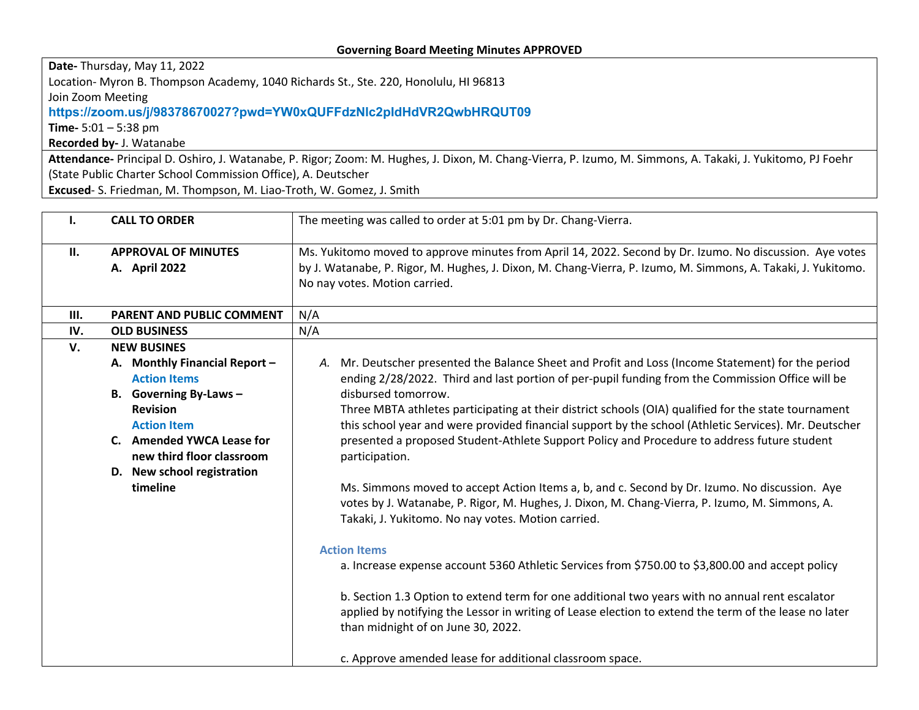## **Governing Board Meeting Minutes APPROVED**

**Date-** Thursday, May 11, 2022 Location- Myron B. Thompson Academy, 1040 Richards St., Ste. 220, Honolulu, HI 96813 Join Zoom Meeting **https://zoom.us/j/98378670027?pwd=YW0xQUFFdzNlc2pIdHdVR2QwbHRQUT09 Time-** 5:01 – 5:38 pm

**Recorded by-** J. Watanabe

**Attendance-** Principal D. Oshiro, J. Watanabe, P. Rigor; Zoom: M. Hughes, J. Dixon, M. Chang-Vierra, P. Izumo, M. Simmons, A. Takaki, J. Yukitomo, PJ Foehr (State Public Charter School Commission Office), A. Deutscher

**Excused**- S. Friedman, M. Thompson, M. Liao-Troth, W. Gomez, J. Smith

| The meeting was called to order at 5:01 pm by Dr. Chang-Vierra.                                                                                                                                                                                                                                                                                                                                                                                                                                                                                                                                                                                                                                                                                                                                                                                                                                                                                                                                                                                                                                                                                                                                                                                                      |
|----------------------------------------------------------------------------------------------------------------------------------------------------------------------------------------------------------------------------------------------------------------------------------------------------------------------------------------------------------------------------------------------------------------------------------------------------------------------------------------------------------------------------------------------------------------------------------------------------------------------------------------------------------------------------------------------------------------------------------------------------------------------------------------------------------------------------------------------------------------------------------------------------------------------------------------------------------------------------------------------------------------------------------------------------------------------------------------------------------------------------------------------------------------------------------------------------------------------------------------------------------------------|
| Ms. Yukitomo moved to approve minutes from April 14, 2022. Second by Dr. Izumo. No discussion. Aye votes<br>by J. Watanabe, P. Rigor, M. Hughes, J. Dixon, M. Chang-Vierra, P. Izumo, M. Simmons, A. Takaki, J. Yukitomo.<br>No nay votes. Motion carried.                                                                                                                                                                                                                                                                                                                                                                                                                                                                                                                                                                                                                                                                                                                                                                                                                                                                                                                                                                                                           |
| N/A                                                                                                                                                                                                                                                                                                                                                                                                                                                                                                                                                                                                                                                                                                                                                                                                                                                                                                                                                                                                                                                                                                                                                                                                                                                                  |
| N/A                                                                                                                                                                                                                                                                                                                                                                                                                                                                                                                                                                                                                                                                                                                                                                                                                                                                                                                                                                                                                                                                                                                                                                                                                                                                  |
| Mr. Deutscher presented the Balance Sheet and Profit and Loss (Income Statement) for the period<br>А.<br>ending 2/28/2022. Third and last portion of per-pupil funding from the Commission Office will be<br>disbursed tomorrow.<br>Three MBTA athletes participating at their district schools (OIA) qualified for the state tournament<br>this school year and were provided financial support by the school (Athletic Services). Mr. Deutscher<br>presented a proposed Student-Athlete Support Policy and Procedure to address future student<br>participation.<br>Ms. Simmons moved to accept Action Items a, b, and c. Second by Dr. Izumo. No discussion. Aye<br>votes by J. Watanabe, P. Rigor, M. Hughes, J. Dixon, M. Chang-Vierra, P. Izumo, M. Simmons, A.<br>Takaki, J. Yukitomo. No nay votes. Motion carried.<br><b>Action Items</b><br>a. Increase expense account 5360 Athletic Services from \$750.00 to \$3,800.00 and accept policy<br>b. Section 1.3 Option to extend term for one additional two years with no annual rent escalator<br>applied by notifying the Lessor in writing of Lease election to extend the term of the lease no later<br>than midnight of on June 30, 2022.<br>c. Approve amended lease for additional classroom space. |
|                                                                                                                                                                                                                                                                                                                                                                                                                                                                                                                                                                                                                                                                                                                                                                                                                                                                                                                                                                                                                                                                                                                                                                                                                                                                      |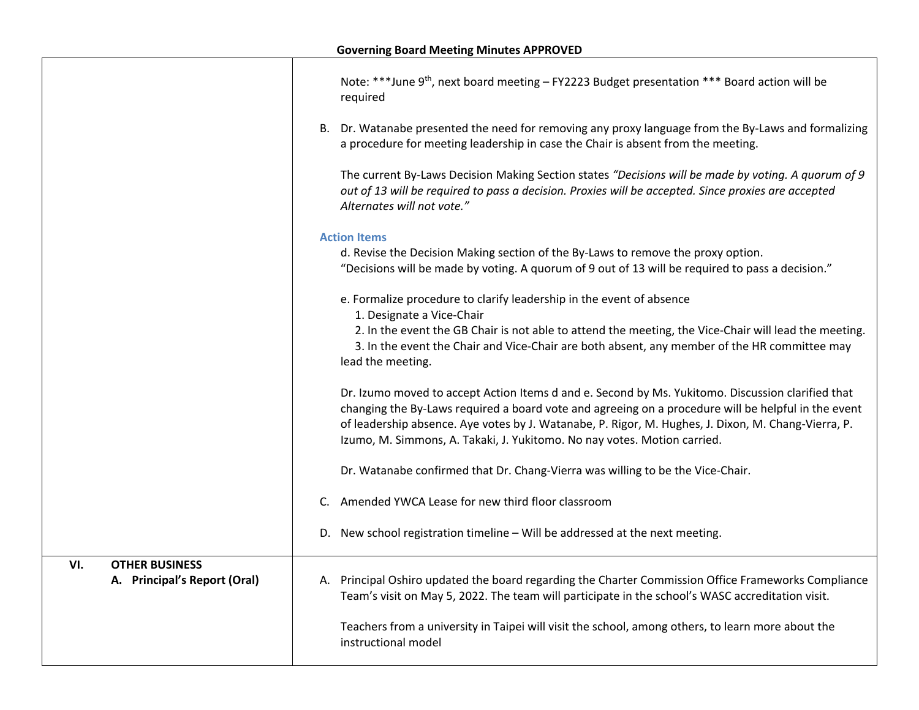|                                                              | Note: ***June 9 <sup>th</sup> , next board meeting - FY2223 Budget presentation *** Board action will be<br>required                                                                                                                                                                                                                                                                        |
|--------------------------------------------------------------|---------------------------------------------------------------------------------------------------------------------------------------------------------------------------------------------------------------------------------------------------------------------------------------------------------------------------------------------------------------------------------------------|
|                                                              | B. Dr. Watanabe presented the need for removing any proxy language from the By-Laws and formalizing<br>a procedure for meeting leadership in case the Chair is absent from the meeting.                                                                                                                                                                                                     |
|                                                              | The current By-Laws Decision Making Section states "Decisions will be made by voting. A quorum of 9<br>out of 13 will be required to pass a decision. Proxies will be accepted. Since proxies are accepted<br>Alternates will not vote."                                                                                                                                                    |
|                                                              | <b>Action Items</b>                                                                                                                                                                                                                                                                                                                                                                         |
|                                                              | d. Revise the Decision Making section of the By-Laws to remove the proxy option.<br>"Decisions will be made by voting. A quorum of 9 out of 13 will be required to pass a decision."                                                                                                                                                                                                        |
|                                                              | e. Formalize procedure to clarify leadership in the event of absence<br>1. Designate a Vice-Chair                                                                                                                                                                                                                                                                                           |
|                                                              | 2. In the event the GB Chair is not able to attend the meeting, the Vice-Chair will lead the meeting.<br>3. In the event the Chair and Vice-Chair are both absent, any member of the HR committee may<br>lead the meeting.                                                                                                                                                                  |
|                                                              | Dr. Izumo moved to accept Action Items d and e. Second by Ms. Yukitomo. Discussion clarified that<br>changing the By-Laws required a board vote and agreeing on a procedure will be helpful in the event<br>of leadership absence. Aye votes by J. Watanabe, P. Rigor, M. Hughes, J. Dixon, M. Chang-Vierra, P.<br>Izumo, M. Simmons, A. Takaki, J. Yukitomo. No nay votes. Motion carried. |
|                                                              | Dr. Watanabe confirmed that Dr. Chang-Vierra was willing to be the Vice-Chair.                                                                                                                                                                                                                                                                                                              |
|                                                              | C. Amended YWCA Lease for new third floor classroom                                                                                                                                                                                                                                                                                                                                         |
|                                                              | D. New school registration timeline - Will be addressed at the next meeting.                                                                                                                                                                                                                                                                                                                |
| VI.<br><b>OTHER BUSINESS</b><br>A. Principal's Report (Oral) | A. Principal Oshiro updated the board regarding the Charter Commission Office Frameworks Compliance<br>Team's visit on May 5, 2022. The team will participate in the school's WASC accreditation visit.                                                                                                                                                                                     |
|                                                              | Teachers from a university in Taipei will visit the school, among others, to learn more about the<br>instructional model                                                                                                                                                                                                                                                                    |